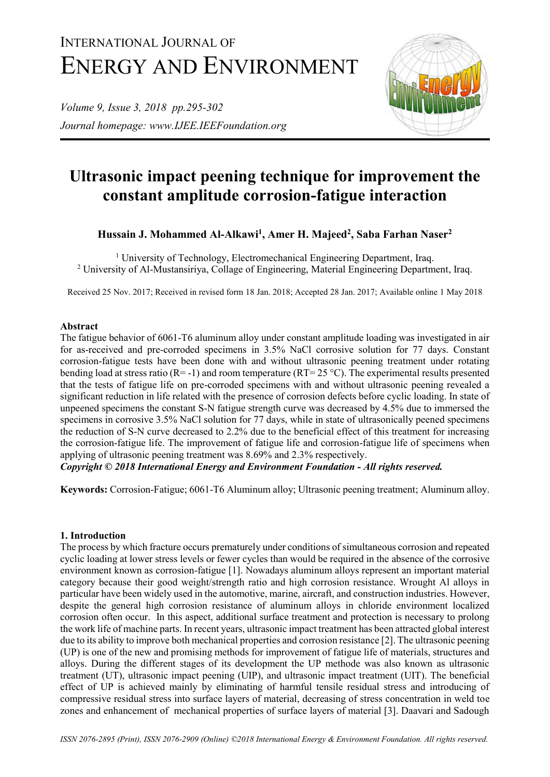# INTERNATIONAL JOURNAL OF ENERGY AND ENVIRONMENT

*Volume 9, Issue 3, 2018 pp.295-302 Journal homepage: www.IJEE.IEEFoundation.org*



# **Ultrasonic impact peening technique for improvement the constant amplitude corrosion-fatigue interaction**

**Hussain J. Mohammed Al-Alkawi<sup>1</sup> , Amer H. Majeed<sup>2</sup> , Saba Farhan Naser<sup>2</sup>**

<sup>1</sup> University of Technology, Electromechanical Engineering Department, Iraq. <sup>2</sup> University of Al-Mustansiriya, Collage of Engineering, Material Engineering Department, Iraq.

Received 25 Nov. 2017; Received in revised form 18 Jan. 2018; Accepted 28 Jan. 2017; Available online 1 May 2018

### **Abstract**

The fatigue behavior of 6061-T6 aluminum alloy under constant amplitude loading was investigated in air for as-received and pre-corroded specimens in 3.5% NaCl corrosive solution for 77 days. Constant corrosion-fatigue tests have been done with and without ultrasonic peening treatment under rotating bending load at stress ratio (R= -1) and room temperature (RT= 25 °C). The experimental results presented that the tests of fatigue life on pre-corroded specimens with and without ultrasonic peening revealed a significant reduction in life related with the presence of corrosion defects before cyclic loading. In state of unpeened specimens the constant S-N fatigue strength curve was decreased by 4.5% due to immersed the specimens in corrosive 3.5% NaCl solution for 77 days, while in state of ultrasonically peened specimens the reduction of S-N curve decreased to 2.2% due to the beneficial effect of this treatment for increasing the corrosion-fatigue life. The improvement of fatigue life and corrosion-fatigue life of specimens when applying of ultrasonic peening treatment was 8.69% and 2.3% respectively.

*Copyright © 2018 International Energy and Environment Foundation - All rights reserved.*

**Keywords:** Corrosion-Fatigue; 6061-T6 Aluminum alloy; Ultrasonic peening treatment; Aluminum alloy.

# **1. Introduction**

The process by which fracture occurs prematurely under conditions of simultaneous corrosion and repeated cyclic loading at lower stress levels or fewer cycles than would be required in the absence of the corrosive environment known as corrosion-fatigue [1]. Nowadays aluminum alloys represent an important material category because their good weight/strength ratio and high corrosion resistance. Wrought Al alloys in particular have been widely used in the automotive, marine, aircraft, and construction industries. However, despite the general high corrosion resistance of aluminum alloys in chloride environment localized corrosion often occur. In this aspect, additional surface treatment and protection is necessary to prolong the work life of machine parts. In recent years, ultrasonic impact treatment has been attracted global interest due to its ability to improve both mechanical properties and corrosion resistance [2]. The ultrasonic peening (UP) is one of the new and promising methods for improvement of fatigue life of materials, structures and alloys. During the different stages of its development the UP methode was also known as ultrasonic treatment (UT), ultrasonic impact peening (UIP), and ultrasonic impact treatment (UIT). The beneficial effect of UP is achieved mainly by eliminating of harmful tensile residual stress and introducing of compressive residual stress into surface layers of material, decreasing of stress concentration in weld toe zones and enhancement of mechanical properties of surface layers of material [3]. Daavari and Sadough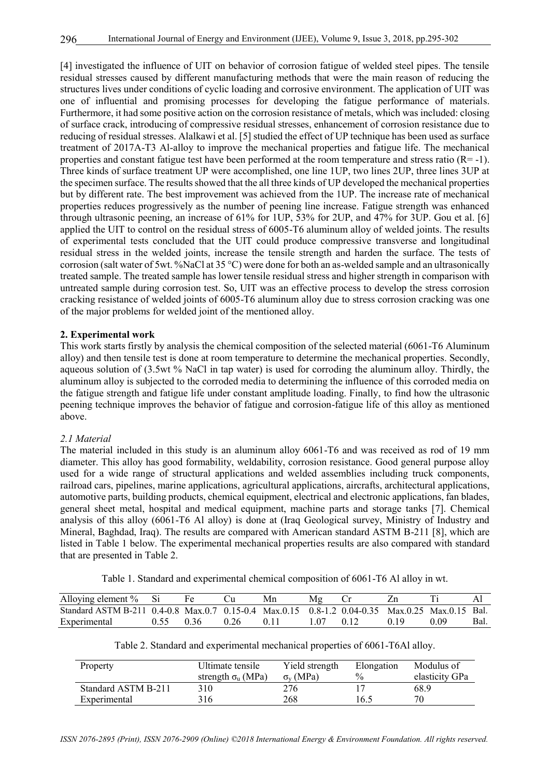[4] investigated the influence of UIT on behavior of corrosion fatigue of welded steel pipes. The tensile residual stresses caused by different manufacturing methods that were the main reason of reducing the structures lives under conditions of cyclic loading and corrosive environment. The application of UIT was one of influential and promising processes for developing the fatigue performance of materials. Furthermore, it had some positive action on the corrosion resistance of metals, which was included: closing of surface crack, introducing of compressive residual stresses, enhancement of corrosion resistance due to reducing of residual stresses. Alalkawi et al. [5] studied the effect of UP technique has been used as surface treatment of 2017A-T3 Al-alloy to improve the mechanical properties and fatigue life. The mechanical properties and constant fatigue test have been performed at the room temperature and stress ratio (R= -1). Three kinds of surface treatment UP were accomplished, one line 1UP, two lines 2UP, three lines 3UP at the specimen surface. The results showed that the all three kinds of UP developed the mechanical properties but by different rate. The best improvement was achieved from the 1UP. The increase rate of mechanical properties reduces progressively as the number of peening line increase. Fatigue strength was enhanced through ultrasonic peening, an increase of 61% for 1UP, 53% for 2UP, and 47% for 3UP. Gou et al. [6] applied the UIT to control on the residual stress of 6005-T6 aluminum alloy of welded joints. The results of experimental tests concluded that the UIT could produce compressive transverse and longitudinal residual stress in the welded joints, increase the tensile strength and harden the surface. The tests of corrosion (salt water of 5wt. %NaCl at 35 °C) were done for both an as-welded sample and an ultrasonically treated sample. The treated sample has lower tensile residual stress and higher strength in comparison with untreated sample during corrosion test. So, UIT was an effective process to develop the stress corrosion cracking resistance of welded joints of 6005-T6 aluminum alloy due to stress corrosion cracking was one of the major problems for welded joint of the mentioned alloy.

#### **2. Experimental work**

This work starts firstly by analysis the chemical composition of the selected material (6061-T6 Aluminum alloy) and then tensile test is done at room temperature to determine the mechanical properties. Secondly, aqueous solution of (3.5wt % NaCl in tap water) is used for corroding the aluminum alloy. Thirdly, the aluminum alloy is subjected to the corroded media to determining the influence of this corroded media on the fatigue strength and fatigue life under constant amplitude loading. Finally, to find how the ultrasonic peening technique improves the behavior of fatigue and corrosion-fatigue life of this alloy as mentioned above.

#### *2.1 Material*

The material included in this study is an aluminum alloy 6061-T6 and was received as rod of 19 mm diameter. This alloy has good formability, weldability, corrosion resistance. Good general purpose alloy used for a wide range of structural applications and welded assemblies including truck components, railroad cars, pipelines, marine applications, agricultural applications, aircrafts, architectural applications, automotive parts, building products, chemical equipment, electrical and electronic applications, fan blades, general sheet metal, hospital and medical equipment, machine parts and storage tanks [7]. Chemical analysis of this alloy (6061-T6 Al alloy) is done at (Iraq Geological survey, Ministry of Industry and Mineral, Baghdad, Iraq). The results are compared with American standard ASTM B-211 [8], which are listed in Table 1 below. The experimental mechanical properties results are also compared with standard that are presented in Table 2.

Table 1. Standard and experimental chemical composition of 6061-T6 Al alloy in wt.

| Alloying element $%$ Si                                                                        |      |      | Mn |  |      |      |      |
|------------------------------------------------------------------------------------------------|------|------|----|--|------|------|------|
| Standard ASTM B-211 0.4-0.8 Max.0.7 0.15-0.4 Max.0.15 0.8-1.2 0.04-0.35 Max.0.25 Max.0.15 Bal. |      |      |    |  |      |      |      |
| Experimental                                                                                   | 0.36 | 0.26 |    |  | 0.19 | 0.09 | Bal. |

| $\sum_{i=1}^{N} \sum_{i=1}^{N} \sum_{j=1}^{N}$                                                 |                             |  |             |        | $\overline{11}$ |
|------------------------------------------------------------------------------------------------|-----------------------------|--|-------------|--------|-----------------|
| Standard ASTM B-211 0.4-0.8 Max.0.7 0.15-0.4 Max.0.15 0.8-1.2 0.04-0.35 Max.0.25 Max.0.15 Bal. |                             |  |             |        |                 |
| Experimental                                                                                   | $0.55$ $0.36$ $0.26$ $0.11$ |  | 107 012 019 | - 0.09 | Bal.            |
|                                                                                                |                             |  |             |        |                 |

|  |  | Table 2. Standard and experimental mechanical properties of 6061-T6Al alloy. |  |  |  |
|--|--|------------------------------------------------------------------------------|--|--|--|
|  |  |                                                                              |  |  |  |

| Property            | Ultimate tensile          | Yield strength  | Elongation    | Modulus of     |
|---------------------|---------------------------|-----------------|---------------|----------------|
|                     | strength $\sigma_u$ (MPa) | $\sigma_v(MPa)$ | $\frac{0}{0}$ | elasticity GPa |
| Standard ASTM B-211 | 310                       | 276             |               | 68.9           |
| Experimental        | 316                       | 268             | 16.5          | 70             |

*ISSN 2076-2895 (Print), ISSN 2076-2909 (Online) ©2018 International Energy & Environment Foundation. All rights reserved.*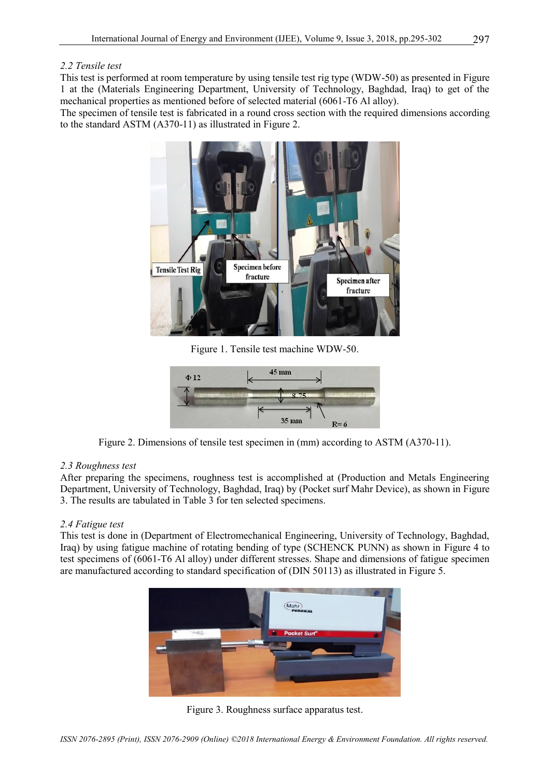#### *2.2 Tensile test*

This test is performed at room temperature by using tensile test rig type (WDW-50) as presented in Figure 1 at the (Materials Engineering Department, University of Technology, Baghdad, Iraq) to get of the mechanical properties as mentioned before of selected material (6061-T6 Al alloy).

The specimen of tensile test is fabricated in a round cross section with the required dimensions according to the standard ASTM (A370-11) as illustrated in Figure 2.



Figure 1. Tensile test machine WDW-50.



Figure 2. Dimensions of tensile test specimen in (mm) according to ASTM (A370-11).

#### *2.3 Roughness test*

After preparing the specimens, roughness test is accomplished at (Production and Metals Engineering Department, University of Technology, Baghdad, Iraq) by (Pocket surf Mahr Device), as shown in Figure 3. The results are tabulated in Table 3 for ten selected specimens.

#### *2.4 Fatigue test*

This test is done in (Department of Electromechanical Engineering, University of Technology, Baghdad, Iraq) by using fatigue machine of rotating bending of type (SCHENCK PUNN) as shown in Figure 4 to test specimens of (6061-T6 Al alloy) under different stresses. Shape and dimensions of fatigue specimen are manufactured according to standard specification of (DIN 50113) as illustrated in Figure 5.



Figure 3. Roughness surface apparatus test.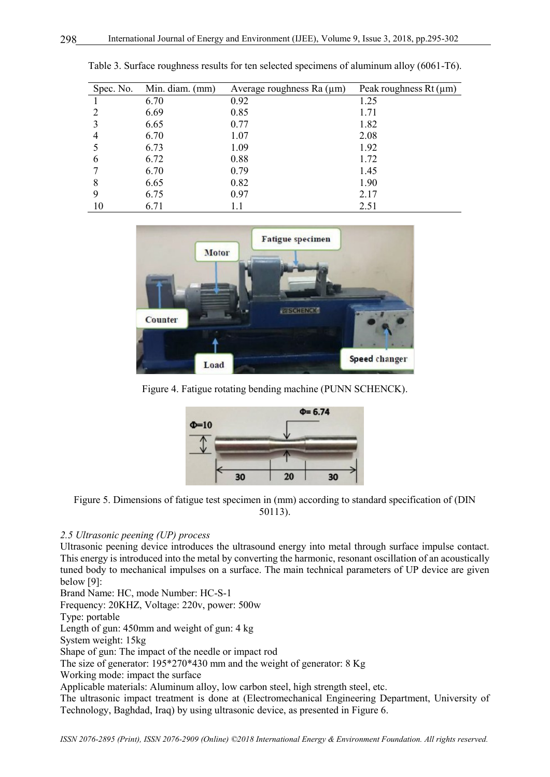| Spec. No. | Min. diam. (mm) | Average roughness Ra $(\mu m)$ | Peak roughness $Rt(\mu m)$ |
|-----------|-----------------|--------------------------------|----------------------------|
|           | 6.70            | 0.92                           | 1.25                       |
|           | 6.69            | 0.85                           | 1.71                       |
|           | 6.65            | 0.77                           | 1.82                       |
| 4         | 6.70            | 1.07                           | 2.08                       |
|           | 6.73            | 1.09                           | 1.92                       |
| 6         | 6.72            | 0.88                           | 1.72                       |
|           | 6.70            | 0.79                           | 1.45                       |
| 8         | 6.65            | 0.82                           | 1.90                       |
| 9         | 6.75            | 0.97                           | 2.17                       |
| 10        | 6.71            |                                | 2.51                       |

Table 3. Surface roughness results for ten selected specimens of aluminum alloy (6061-T6).



Figure 4. Fatigue rotating bending machine (PUNN SCHENCK).



Figure 5. Dimensions of fatigue test specimen in (mm) according to standard specification of (DIN 50113).

# *2.5 Ultrasonic peening (UP) process*

Ultrasonic peening device introduces the ultrasound energy into metal through surface impulse contact. This energy is introduced into the metal by converting the harmonic, resonant oscillation of an acoustically tuned body to mechanical impulses on a surface. The main technical parameters of UP device are given below [9]:

Brand Name: HC, mode Number: HC-S-1 Frequency: 20KHZ, Voltage: 220v, power: 500w Type: portable Length of gun: 450mm and weight of gun: 4 kg System weight: 15kg Shape of gun: The impact of the needle or impact rod The size of generator: 195\*270\*430 mm and the weight of generator: 8 Kg Working mode: impact the surface Applicable materials: Aluminum alloy, low carbon steel, high strength steel, etc. The ultrasonic impact treatment is done at (Electromechanical Engineering Department, University of Technology, Baghdad, Iraq) by using ultrasonic device, as presented in Figure 6.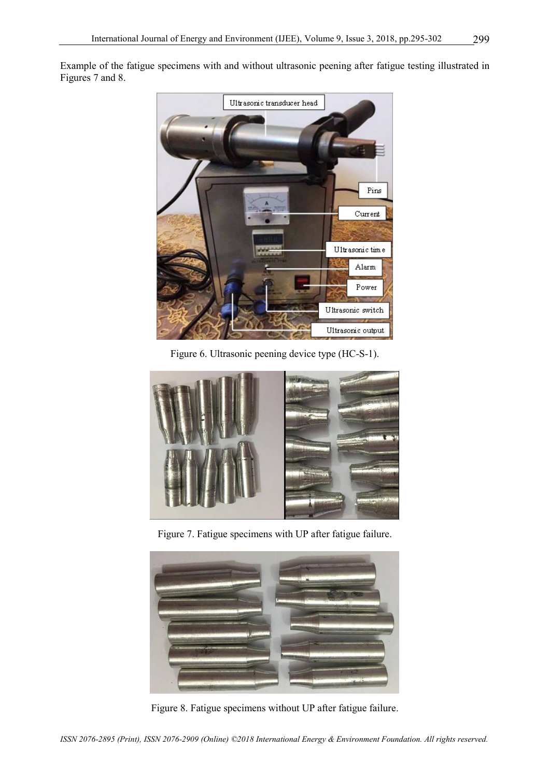Example of the fatigue specimens with and without ultrasonic peening after fatigue testing illustrated in Figures 7 and 8.



Figure 6. Ultrasonic peening device type (HC-S-1).



Figure 7. Fatigue specimens with UP after fatigue failure.



Figure 8. Fatigue specimens without UP after fatigue failure.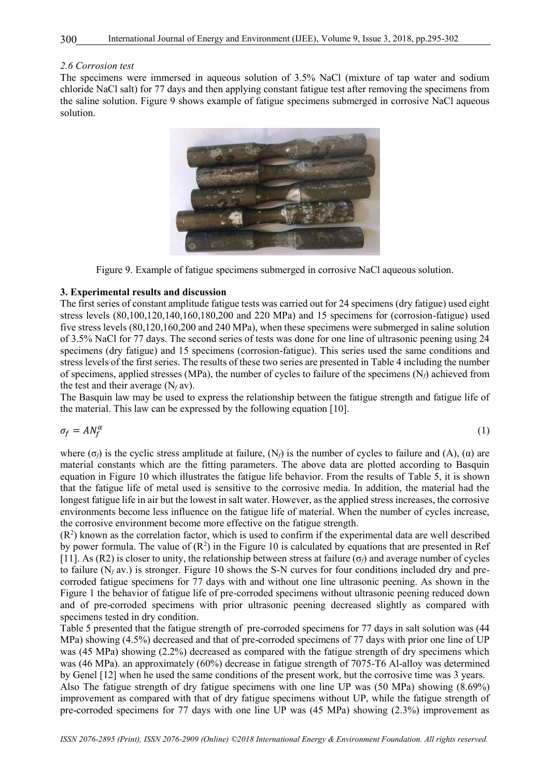#### *2.6 Corrosion test*

The specimens were immersed in aqueous solution of 3.5% NaCl (mixture of tap water and sodium chloride NaCl salt) for 77 days and then applying constant fatigue test after removing the specimens from the saline solution. Figure 9 shows example of fatigue specimens submerged in corrosive NaCl aqueous solution.





# **3. Experimental results and discussion**

The first series of constant amplitude fatigue tests was carried out for 24 specimens (dry fatigue) used eight stress levels (80,100,120,140,160,180,200 and 220 MPa) and 15 specimens for (corrosion-fatigue) used five stress levels (80,120,160,200 and 240 MPa), when these specimens were submerged in saline solution of 3.5% NaCl for 77 days. The second series of tests was done for one line of ultrasonic peening using 24 specimens (dry fatigue) and 15 specimens (corrosion-fatigue). This series used the same conditions and stress levels of the first series. The results of these two series are presented in Table 4 including the number of specimens, applied stresses (MPa), the number of cycles to failure of the specimens (N*f*) achieved from the test and their average  $(N_f av)$ .

The Basquin law may be used to express the relationship between the fatigue strength and fatigue life of the material. This law can be expressed by the following equation [10].

$$
\sigma_f = A N_f^{\alpha} \tag{1}
$$

where ( $\sigma$ *f*) is the cyclic stress amplitude at failure, (N<sub>*f*</sub>) is the number of cycles to failure and (A), ( $\alpha$ ) are material constants which are the fitting parameters. The above data are plotted according to Basquin equation in Figure 10 which illustrates the fatigue life behavior. From the results of Table 5, it is shown that the fatigue life of metal used is sensitive to the corrosive media. In addition, the material had the longest fatigue life in air but the lowest in salt water. However, as the applied stress increases, the corrosive environments become less influence on the fatigue life of material. When the number of cycles increase, the corrosive environment become more effective on the fatigue strength.

 $(R<sup>2</sup>)$  known as the correlation factor, which is used to confirm if the experimental data are well described by power formula. The value of  $(R^2)$  in the Figure 10 is calculated by equations that are presented in Ref [11]. As (R2) is closer to unity, the relationship between stress at failure (σ*f*) and average number of cycles to failure  $(N_f \, \text{av.})$  is stronger. Figure 10 shows the S-N curves for four conditions included dry and precorroded fatigue specimens for 77 days with and without one line ultrasonic peening. As shown in the Figure 1 the behavior of fatigue life of pre-corroded specimens without ultrasonic peening reduced down and of pre-corroded specimens with prior ultrasonic peening decreased slightly as compared with specimens tested in dry condition.

Table 5 presented that the fatigue strength of pre-corroded specimens for 77 days in salt solution was (44 MPa) showing (4.5%) decreased and that of pre-corroded specimens of 77 days with prior one line of UP was (45 MPa) showing (2.2%) decreased as compared with the fatigue strength of dry specimens which was (46 MPa). an approximately (60%) decrease in fatigue strength of 7075-T6 Al-alloy was determined by Genel [12] when he used the same conditions of the present work, but the corrosive time was 3 years.

Also The fatigue strength of dry fatigue specimens with one line UP was (50 MPa) showing (8.69%) improvement as compared with that of dry fatigue specimens without UP, while the fatigue strength of pre-corroded specimens for 77 days with one line UP was (45 MPa) showing (2.3%) improvement as

300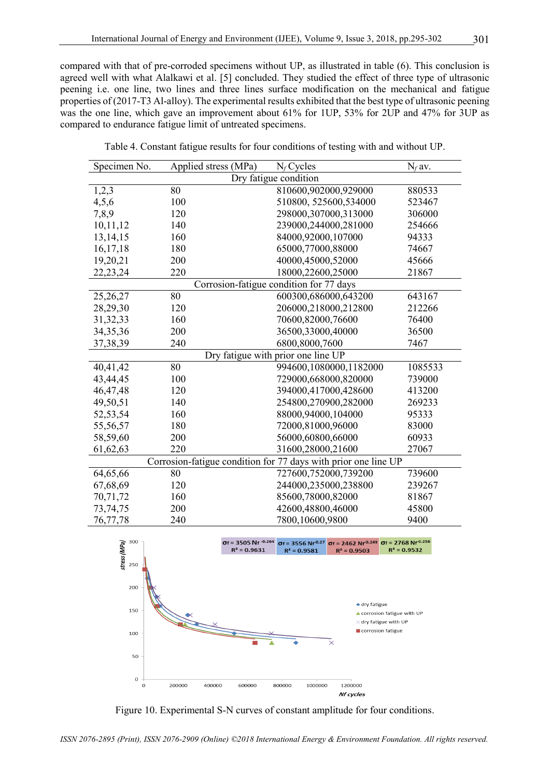compared with that of pre-corroded specimens without UP, as illustrated in table (6). This conclusion is agreed well with what Alalkawi et al. [5] concluded. They studied the effect of three type of ultrasonic peening i.e. one line, two lines and three lines surface modification on the mechanical and fatigue properties of (2017-T3 Al-alloy). The experimental results exhibited that the best type of ultrasonic peening was the one line, which gave an improvement about 61% for 1UP, 53% for 2UP and 47% for 3UP as compared to endurance fatigue limit of untreated specimens.

Table 4. Constant fatigue results for four conditions of testing with and without UP.

| Specimen No.                                                   | Applied stress (MPa) | $N_f$ Cycles                            | $N_f$ av. |  |  |  |
|----------------------------------------------------------------|----------------------|-----------------------------------------|-----------|--|--|--|
| Dry fatigue condition                                          |                      |                                         |           |  |  |  |
| 1,2,3                                                          | 80                   | 810600,902000,929000                    | 880533    |  |  |  |
| 4,5,6                                                          | 100                  | 510800, 525600, 534000                  | 523467    |  |  |  |
| 7,8,9                                                          | 120                  | 298000,307000,313000                    | 306000    |  |  |  |
| 10,11,12                                                       | 140                  | 239000,244000,281000                    | 254666    |  |  |  |
| 13, 14, 15                                                     | 160                  | 84000,92000,107000                      | 94333     |  |  |  |
| 16,17,18                                                       | 180                  | 65000,77000,88000                       | 74667     |  |  |  |
| 19,20,21                                                       | 200                  | 40000,45000,52000                       | 45666     |  |  |  |
| 22, 23, 24                                                     | 220                  | 18000,22600,25000                       | 21867     |  |  |  |
|                                                                |                      | Corrosion-fatigue condition for 77 days |           |  |  |  |
| 25,26,27                                                       | 80                   | 600300,686000,643200                    | 643167    |  |  |  |
| 28,29,30                                                       | 120                  | 206000,218000,212800                    | 212266    |  |  |  |
| 31, 32, 33                                                     | 160                  | 70600,82000,76600                       | 76400     |  |  |  |
| 34, 35, 36                                                     | 200                  | 36500,33000,40000                       | 36500     |  |  |  |
| 37, 38, 39                                                     | 240                  | 6800,8000,7600                          | 7467      |  |  |  |
| Dry fatigue with prior one line UP                             |                      |                                         |           |  |  |  |
| 40,41,42                                                       | 80                   | 994600,1080000,1182000                  | 1085533   |  |  |  |
| 43,44,45                                                       | 100                  | 729000,668000,820000                    | 739000    |  |  |  |
| 46, 47, 48                                                     | 120                  | 394000,417000,428600                    | 413200    |  |  |  |
| 49,50,51                                                       | 140                  | 254800,270900,282000                    | 269233    |  |  |  |
| 52,53,54                                                       | 160                  | 88000,94000,104000                      | 95333     |  |  |  |
| 55,56,57                                                       | 180                  | 72000,81000,96000                       | 83000     |  |  |  |
| 58,59,60                                                       | 200                  | 56000,60800,66000                       | 60933     |  |  |  |
| 61, 62, 63                                                     | 220                  | 31600,28000,21600                       | 27067     |  |  |  |
| Corrosion-fatigue condition for 77 days with prior one line UP |                      |                                         |           |  |  |  |
| 64,65,66                                                       | 80                   | 727600,752000,739200                    | 739600    |  |  |  |
| 67,68,69                                                       | 120                  | 244000,235000,238800                    | 239267    |  |  |  |
| 70,71,72                                                       | 160                  | 85600,78000,82000                       | 81867     |  |  |  |
| 73, 74, 75                                                     | 200                  | 42600,48800,46000                       | 45800     |  |  |  |
| 76,77,78                                                       | 240                  | 7800,10600,9800                         | 9400      |  |  |  |



Figure 10. Experimental S-N curves of constant amplitude for four conditions.